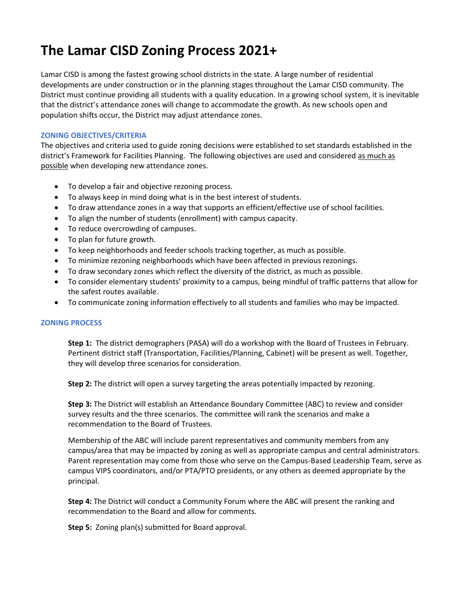## **The Lamar CISD Zoning Process 2021+**

Lamar CISD is among the fastest growing school districts in the state. A large number of residential developments are under construction or in the planning stages throughout the Lamar CISD community. The District must continue providing all students with a quality education. In a growing school system, it is inevitable that the district's attendance zones will change to accommodate the growth. As new schools open and population shifts occur, the District may adjust attendance zones.

## **ZONING OBJECTIVES/CRITERIA**

The objectives and criteria used to guide zoning decisions were established to set standards established in the district's Framework for Facilities Planning. The following objectives are used and considered as much as possible when developing new attendance zones.

- To develop a fair and objective rezoning process.
- To always keep in mind doing what is in the best interest of students.
- To draw attendance zones in a way that supports an efficient/effective use of school facilities.
- To align the number of students (enrollment) with campus capacity.
- To reduce overcrowding of campuses.
- To plan for future growth.
- To keep neighborhoods and feeder schools tracking together, as much as possible.
- To minimize rezoning neighborhoods which have been affected in previous rezonings.
- To draw secondary zones which reflect the diversity of the district, as much as possible.
- To consider elementary students' proximity to a campus, being mindful of traffic patterns that allow for the safest routes available.
- To communicate zoning information effectively to all students and families who may be impacted.

## **ZONING PROCESS**

**Step 1:** The district demographers (PASA) will do a workshop with the Board of Trustees in February. Pertinent district staff (Transportation, Facilities/Planning, Cabinet) will be present as well. Together, they will develop three scenarios for consideration.

**Step 2:** The district will open a survey targeting the areas potentially impacted by rezoning.

**Step 3:** The District will establish an Attendance Boundary Committee (ABC) to review and consider survey results and the three scenarios. The committee will rank the scenarios and make a recommendation to the Board of Trustees.

Membership of the ABC will include parent representatives and community members from any campus/area that may be impacted by zoning as well as appropriate campus and central administrators. Parent representation may come from those who serve on the Campus-Based Leadership Team, serve as campus VIPS coordinators, and/or PTA/PTO presidents, or any others as deemed appropriate by the principal.

**Step 4:** The District will conduct a Community Forum where the ABC will present the ranking and recommendation to the Board and allow for comments.

**Step 5:** Zoning plan(s) submitted for Board approval.